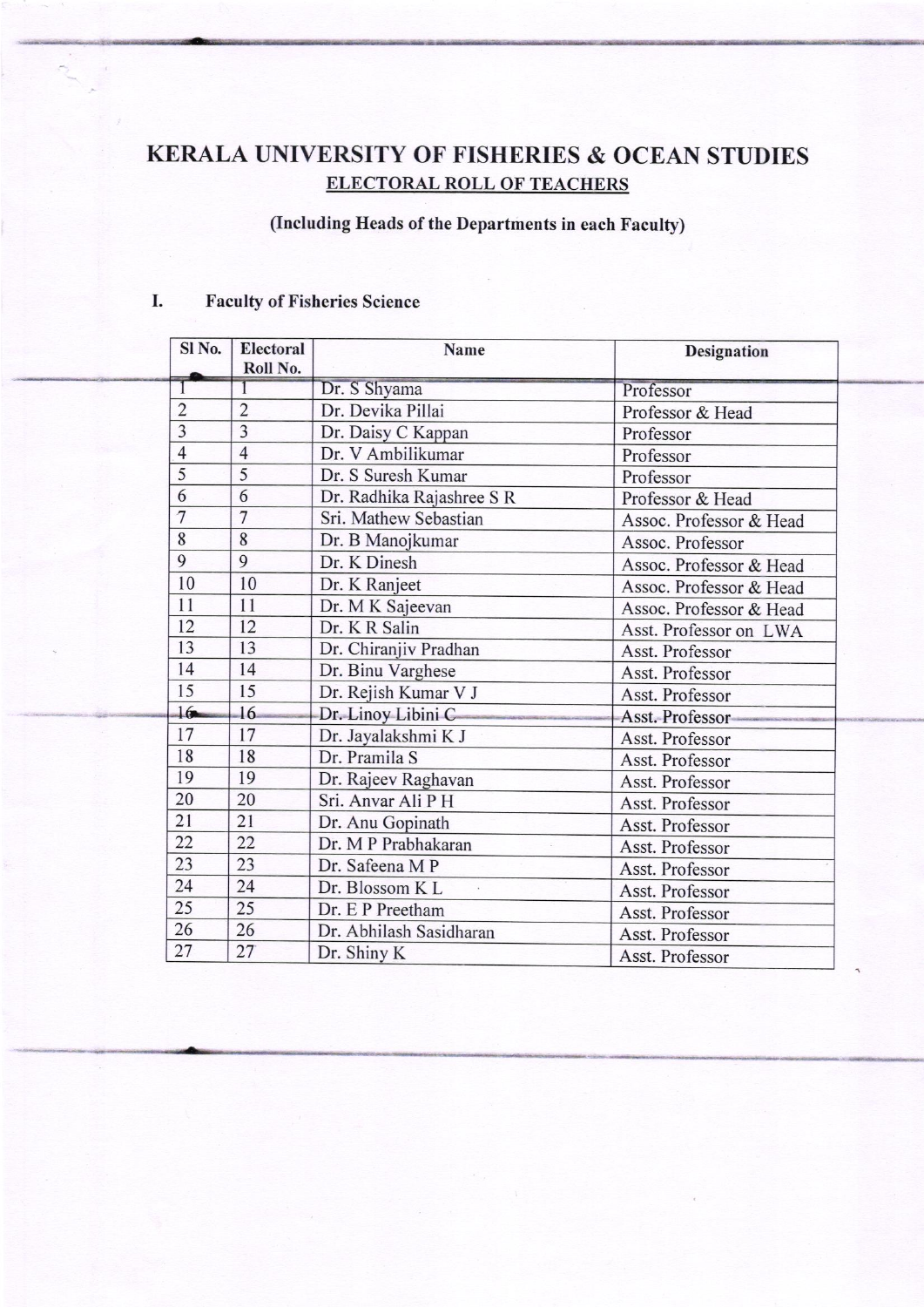## KERALA UNIVERSITY OF FISHERIES & OCEAN STUDIES ELECTORAL ROLL OF TEACHERS

(Including Hcads of the Departments in cach Faculty)

## I. Faculty of Fisheries Science

| Sl <sub>No.</sub> | Electoral<br>Roll No. | <b>Name</b>               | <b>Designation</b>      |
|-------------------|-----------------------|---------------------------|-------------------------|
|                   |                       | Dr. S Shyama              | Professor               |
| $\overline{2}$    | $\overline{c}$        | Dr. Devika Pillai         | Professor & Head        |
| $\overline{3}$    | $\overline{3}$        | Dr. Daisy C Kappan        | Professor               |
| $\overline{4}$    | $\overline{4}$        | Dr. V Ambilikumar         | Professor               |
| 5                 | 5                     | Dr. S Suresh Kumar        | Professor               |
| 6                 | 6                     | Dr. Radhika Rajashree S R | Professor & Head        |
| $\tau$            | $\overline{7}$        | Sri. Mathew Sebastian     | Assoc. Professor & Head |
| 8                 | 8                     | Dr. B Manojkumar          | Assoc. Professor        |
| 9                 | 9                     | Dr. K Dinesh              | Assoc. Professor & Head |
| 10                | 10                    | Dr. K Ranjeet             | Assoc. Professor & Head |
| 11                | 11                    | Dr. M K Sajeevan          | Assoc. Professor & Head |
| 12                | 12                    | Dr. K R Salin             | Asst. Professor on LWA  |
| 13                | 13                    | Dr. Chiranjiv Pradhan     | Asst. Professor         |
| 14                | 14                    | Dr. Binu Varghese         | Asst. Professor         |
| 15                | 15                    | Dr. Rejish Kumar V J      | Asst. Professor         |
| 16                | 16                    | Dr. Linoy Libini C        | Asst. Professor-        |
| 17                | 17                    | Dr. Jayalakshmi K J       | Asst. Professor         |
| 18                | 18                    | Dr. Pramila S             | Asst. Professor         |
| 19                | 19                    | Dr. Rajeev Raghavan       | Asst. Professor         |
| 20                | 20                    | Sri. Anvar Ali P H        | Asst. Professor         |
| 21                | 21                    | Dr. Anu Gopinath          | Asst. Professor         |
| 22                | 22                    | Dr. M P Prabhakaran       | Asst. Professor         |
| 23                | 23                    | Dr. Safeena MP            | Asst. Professor         |
| 24                | 24                    | Dr. Blossom K L           | Asst. Professor         |
| 25                | 25                    | Dr. E P Preetham          | Asst. Professor         |
| 26                | 26                    | Dr. Abhilash Sasidharan   | Asst. Professor         |
| 27                | 27                    | Dr. Shiny K               | Asst. Professor         |